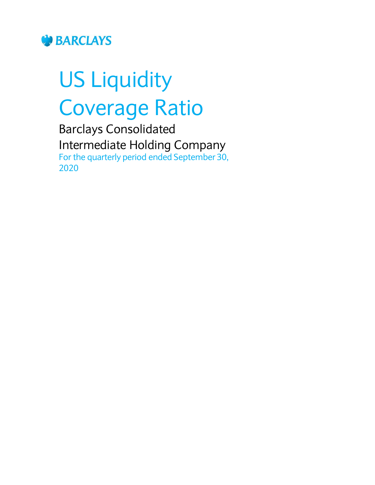

# US Liquidity Coverage Ratio

Barclays Consolidated Intermediate Holding Company For the quarterly period ended September 30, 2020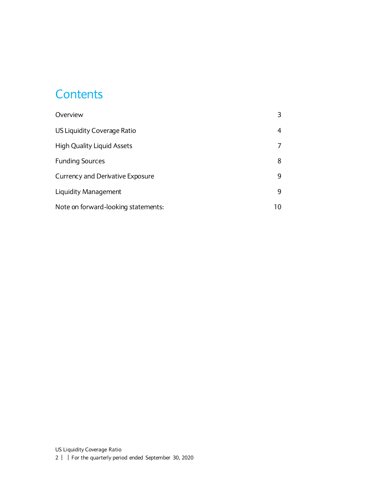#### **Contents**

| Overview                            |    |
|-------------------------------------|----|
| US Liquidity Coverage Ratio         | 4  |
| <b>High Quality Liquid Assets</b>   |    |
| <b>Funding Sources</b>              | 8  |
| Currency and Derivative Exposure    | 9  |
| Liquidity Management                | 9  |
| Note on forward-looking statements: | 10 |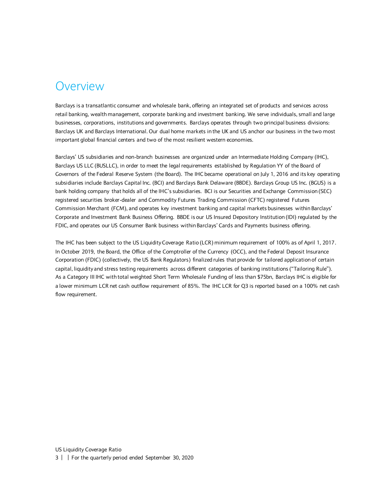#### <span id="page-2-0"></span>Overview

Barclays is a transatlantic consumer and wholesale bank, offering an integrated set of products and services across retail banking, wealth management, corporate banking and investment banking. We serve individuals, small and large businesses, corporations, institutions and governments. Barclays operates through two principal business divisions: Barclays UK and Barclays International. Our dual home markets in the UK and US anchor our business in the two most important global financial centers and two of the most resilient western economies.

Barclays' US subsidiaries and non-branch businesses are organized under an Intermediate Holding Company (IHC), Barclays US LLC (BUSLLC), in order to meet the legal requirements established by Regulation YY of the Board of Governors of the Federal Reserve System (the Board). The IHC became operational on July 1, 2016 and its key operating subsidiaries include Barclays Capital Inc. (BCI) and Barclays Bank Delaware (BBDE). Barclays Group US Inc. (BGUS) is a bank holding company that holds all of the IHC's subsidiaries. BCI is our Securities and Exchange Commission (SEC) registered securities broker-dealer and Commodity Futures Trading Commission (CFTC) registered Futures Commission Merchant (FCM), and operates key investment banking and capital markets businesses within Barclays' Corporate and Investment Bank Business Offering. BBDE is our US Insured Depository Institution (IDI) regulated by the FDIC, and operates our US Consumer Bank business within Barclays' Cards and Payments business offering.

The IHC has been subject to the US Liquidity Coverage Ratio (LCR) minimum requirement of 100% as of April 1, 2017. In October 2019, the Board, the Office of the Comptroller of the Currency (OCC), and the Federal Deposit Insurance Corporation (FDIC) (collectively, the US Bank Regulators) finalized rules that provide for tailored application of certain capital, liquidity and stress testing requirements across different categories of banking institutions ("Tailoring Rule"). As a Category III IHC with total weighted Short Term Wholesale Funding of less than \$75bn, Barclays IHC is eligible for a lower minimum LCR net cash outflow requirement of 85%. The IHC LCR for Q3 is reported based on a 100% net cash flow requirement.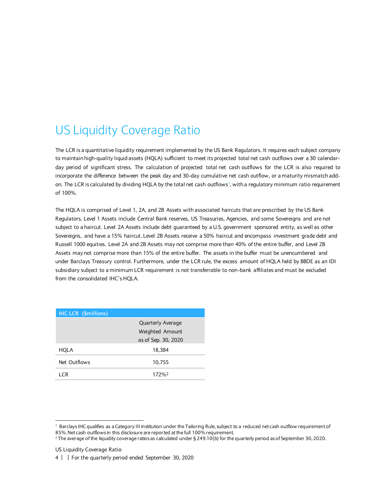# <span id="page-3-0"></span>US Liquidity Coverage Ratio

The LCR is a quantitative liquidity requirement implemented by the US Bank Requlators. It requires each subject company to maintain high-quality liquid assets (HQLA) sufficient to meet its projected total net cash outflows over a 30 calendarday period of significant stress. The calculation of projected total net cash outflows for the LCR is also required to incorporate the difference between the peak day and 30-day cumulative net cash outflow, or a maturity mismatch addon. The LCR is calculated by dividing HQLA by the total net cash outflows<sup>1</sup>, with a regulatory minimum ratio requirement of 100%.

The HQLA is comprised of Level 1, 2A, and 2B Assets with associated haircuts that are prescribed by the US Bank Regulators. Level 1 Assets include Central Bank reserves, US Treasuries, Agencies, and some Sovereigns and are not subject to a haircut. Level 2A Assets include debt guaranteed by a U.S. government sponsored entity, as well as other Sovereigns, and have a 15% haircut. Level 2B Assets receive a 50% haircut and encompass investment grade debt and Russell 1000 equities. Level 2A and 2B Assets may not comprise more than 40% of the entire buffer, and Level 2B Assets may not comprise more than 15% of the entire buffer. The assets in the buffer must be unencumbered and under Barclays Treasury control. Furthermore, under the LCR rule, the excess amount of HQLA held by BBDE as an IDI subsidiary subject to a minimum LCR requirement is not transferrable to non-bank affiliates and must be excluded from the consolidated IHC's HQLA.

| <b>IHC LCR (\$millions)</b> |                          |
|-----------------------------|--------------------------|
|                             | <b>Quarterly Average</b> |
|                             | Weighted Amount          |
|                             | as of Sep. 30, 2020      |
| HQLA                        | 18,384                   |
| Net Outflows                | 10,755                   |
| I CR                        | 172% <sup>2</sup>        |

l

<sup>1</sup> Barclays IHC qualifies as a Category III institution under the Tailoring Rule, subject to a reduced net cash outflow requirement of 85%. Net cash outflows in this disclosure are reported at the full 100% requirement.

<sup>&</sup>lt;sup>2</sup> The average of the liquidity coverage ratios as calculated under § 249.10(b) for the quarterly period as of September 30, 2020.

US Liquidity Coverage Ratio

<sup>4</sup> | | For the quarterly period ended September 30, 2020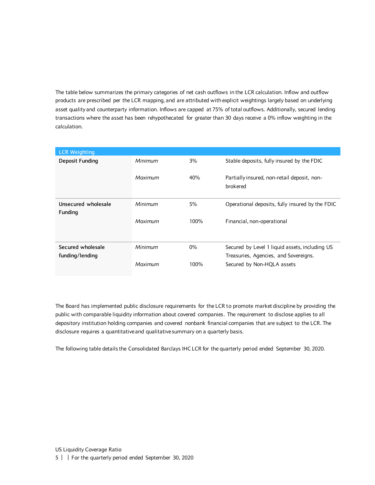The table below summarizes the primary categories of net cash outflows in the LCR calculation. Inflow and outflow products are prescribed per the LCR mapping, and are attributed with explicit weightings largely based on underlying asset quality and counterparty information. Inflows are capped at 75% of total outflows. Additionally, secured lending transactions where the asset has been rehypothecated for greater than 30 days receive a 0% inflow weighting in the calculation.

| <b>LCR Weighting</b>           |         |       |                                                         |
|--------------------------------|---------|-------|---------------------------------------------------------|
| Deposit Funding                | Minimum | 3%    | Stable deposits, fully insured by the FDIC              |
|                                | Maximum | 40%   | Partially insured, non-retail deposit, non-<br>brokered |
| Unsecured wholesale<br>Funding | Minimum | 5%    | Operational deposits, fully insured by the FDIC         |
|                                | Maximum | 100%  | Financial, non-operational                              |
| Secured wholesale              | Minimum | $0\%$ | Secured by Level 1 liquid assets, including US          |
| funding/lending                |         |       | Treasuries, Agencies, and Sovereigns.                   |
|                                | Maximum | 100%  | Secured by Non-HQLA assets                              |

The Board has implemented public disclosure requirements for the LCR to promote market discipline by providing the public with comparable liquidity information about covered companies. The requirement to disclose applies to all depository institution holding companies and covered nonbank financial companies that are subject to the LCR. The disclosure requires a quantitative and qualitative summary on a quarterly basis.

The following table details the Consolidated Barclays IHC LCR for the quarterly period ended September 30, 2020.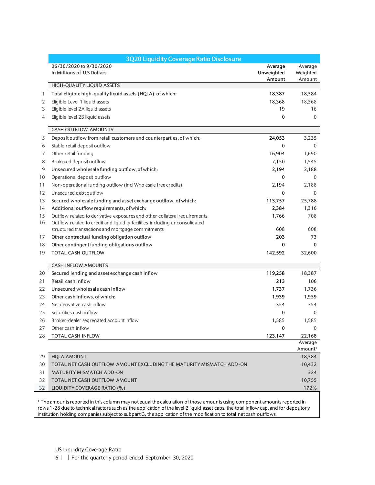|    | 3Q20 Liquidity Coverage Ratio Disclosure                                    |            |                     |
|----|-----------------------------------------------------------------------------|------------|---------------------|
|    | 06/30/2020 to 9/30/2020                                                     | Average    | Average             |
|    | In Millions of U.S Dollars                                                  | Unweighted | Weighted            |
|    | HIGH-QUALITY LIQUID ASSETS                                                  | Amount     | Amount              |
| 1  | Total eligible high-quality liquid assets (HQLA), of which:                 | 18,387     | 18,384              |
| 2  | Eligible Level 1 liquid assets                                              | 18,368     | 18,368              |
| 3  | Eligible level 2A liquid assets                                             | 19         | 16                  |
| 4  | Eligible level 2B liquid assets                                             | 0          | $\mathbf{0}$        |
|    |                                                                             |            |                     |
|    | <b>CASH OUTFLOW AMOUNTS</b>                                                 |            |                     |
| 5  | Deposit outflow from retail customers and counterparties, of which:         | 24,053     | 3,235               |
| 6  | Stable retail deposit outflow                                               | 0          | $\mathbf{0}$        |
| 7  | Other retail funding                                                        | 16,904     | 1,690               |
| 8  | Brokered deposit outflow                                                    | 7,150      | 1,545               |
| 9  | Unsecured wholesale funding outflow, of which:                              | 2,194      | 2,188               |
| 10 | Operational deposit outflow                                                 | 0          | $\Omega$            |
| 11 | Non-operational funding outflow (incl Wholesale free credits)               | 2,194      | 2,188               |
| 12 | Unsecured debt outflow                                                      | 0          | $\mathbf{0}$        |
| 13 | Secured wholesale funding and asset exchange outflow, of which:             | 113,757    | 25,788              |
| 14 | Additional outflow requirements, of which:                                  | 2,384      | 1,316               |
| 15 | Outflow related to derivative exposures and other collateral requirements   | 1,766      | 708                 |
| 16 | Outflow related to credit and liquidity facilities including unconsolidated |            |                     |
|    | structured transactions and mortgage commitments                            | 608        | 608                 |
| 17 | Other contractual funding obligation outflow                                | 203        | 73                  |
| 18 | Other contingent funding obligations outflow                                | 0          | $\mathbf 0$         |
| 19 | <b>TOTAL CASH OUTFLOW</b>                                                   | 142,592    | 32,600              |
|    | <b>CASH INFLOW AMOUNTS</b>                                                  |            |                     |
| 20 | Secured lending and asset exchange cash inflow                              | 119,258    | 18,387              |
| 21 | Retail cash inflow                                                          | 213        | 106                 |
| 22 | Unsecured wholesale cash inflow                                             | 1,737      | 1,736               |
| 23 | Other cash inflows, of which:                                               | 1,939      | 1,939               |
| 24 | Net derivative cash inflow                                                  | 354        | 354                 |
| 25 | Securities cash inflow                                                      | 0          | $\Omega$            |
| 26 | Broker-dealer segregated account inflow                                     | 1,585      | 1,585               |
| 27 | Other cash inflow                                                           | $\Omega$   | $\Omega$            |
| 28 | <b>TOTAL CASH INFLOW</b>                                                    | 123,147    | 22,168              |
|    |                                                                             |            | Average             |
|    |                                                                             |            | Amount <sup>1</sup> |
| 29 | <b>HQLA AMOUNT</b>                                                          |            | 18,384              |
| 30 | TOTAL NET CASH OUTFLOW AMOUNT EXCLUDING THE MATURITY MISMATCH ADD-ON        |            | 10,432              |
| 31 | <b>MATURITY MISMATCH ADD-ON</b>                                             |            | 324                 |
| 32 | TOTAL NET CASH OUTFLOW AMOUNT                                               |            | 10,755              |
| 32 | LIQUIDITY COVERAGE RATIO (%)                                                |            | 172%                |

 The amounts reported in this column may not equal the calculation of those amounts using component amounts reported in rows 1-28 due to technical factors such as the application of the level 2 liquid asset caps, the total inflow cap, and for depositor y institution holding companies subject to subpart G, the application of the modification to total net cash outflows.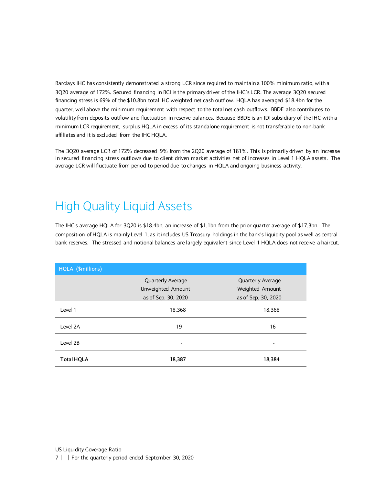Barclays IHC has consistently demonstrated a strong LCR since required to maintain a 100% minimum ratio, with a 3Q20 average of 172%. Secured financing in BCI is the primary driver of the IHC's LCR. The average 3Q20 secured financing stress is 69% of the \$10.8bn total IHC weighted net cash outflow. HQLA has averaged \$18.4bn for the quarter, well above the minimum requirement with respect to the total net cash outflows. BBDE also contributes to volatility from deposits outflow and fluctuation in reserve balances. Because BBDE is an IDI subsidiary of the IHC with a minimum LCR requirement, surplus HQLA in excess of its standalone requirement is not transferable to non-bank affiliates and it is excluded from the IHC HQLA.

The 3Q20 average LCR of 172% decreased 9% from the 2Q20 average of 181%. This is primarily driven by an increase in secured financing stress outflows due to client driven market activities net of increases in Level 1 HQLA assets. The average LCR will fluctuate from period to period due to changes in HQLA and ongoing business activity.

# <span id="page-6-0"></span>High Quality Liquid Assets

The IHC's average HQLA for 3Q20 is \$18.4bn, an increase of \$1.1bn from the prior quarter average of \$17.3bn. The composition of HQLA is mainly Level 1, as it includes US Treasury holdings in the bank's liquidity pool as well as central bank reserves. The stressed and notional balances are largely equivalent since Level 1 HQLA does not receive a haircut.

| HQLA (\$millions) |                                        |                                             |
|-------------------|----------------------------------------|---------------------------------------------|
|                   | Quarterly Average<br>Unweighted Amount | <b>Quarterly Average</b><br>Weighted Amount |
|                   | as of Sep. 30, 2020                    | as of Sep. 30, 2020                         |
| Level 1           | 18,368                                 | 18,368                                      |
| Level 2A          | 19                                     | 16                                          |
| Level 2B          |                                        |                                             |
| <b>Total HQLA</b> | 18,387                                 | 18,384                                      |

7 | | For the quarterly period ended September 30, 2020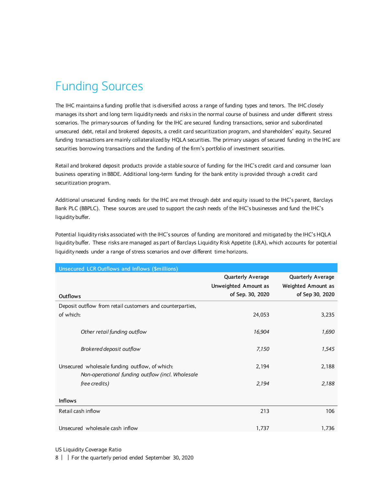# <span id="page-7-0"></span>Funding Sources

The IHC maintains a funding profile that is diversified across a range of funding types and tenors. The IHC closely manages its short and long term liquidity needs and risks in the normal course of business and under different stress scenarios. The primary sources of funding for the IHC are secured funding transactions, senior and subordinated unsecured debt, retail and brokered deposits, a credit card securitization program, and shareholders' equity. Secured funding transactions are mainly collateralized by HQLA securities. The primary usages of secured funding in the IHC are securities borrowing transactions and the funding of the firm's portfolio of investment securities.

Retail and brokered deposit products provide a stable source of funding for the IHC's credit card and consumer loan business operating in BBDE. Additional long-term funding for the bank entity is provided through a credit card securitization program.

Additional unsecured funding needs for the IHC are met through debt and equity issued to the IHC's parent, Barclays Bank PLC (BBPLC). These sources are used to support the cash needs of the IHC's businesses and fund the IHC's liquidity buffer.

Potential liquidity risks associated with the IHC's sources of funding are monitored and mitigated by the IHC's HQLA liquidity buffer. These risks are managed as part of Barclays Liquidity Risk Appetite (LRA), which accounts for potential liquidity needs under a range of stress scenarios and over different time horizons.

| Unsecured LCR Outflows and Inflows (\$millions)                                                    |                                                               |                                                            |
|----------------------------------------------------------------------------------------------------|---------------------------------------------------------------|------------------------------------------------------------|
| Outflows                                                                                           | Quarterly Average<br>Unweighted Amount as<br>of Sep. 30, 2020 | Quarterly Average<br>Weighted Amount as<br>of Sep 30, 2020 |
| Deposit outflow from retail customers and counterparties,                                          |                                                               |                                                            |
| of which:                                                                                          | 24,053                                                        | 3,235                                                      |
| Other retail funding outflow                                                                       | 16,904                                                        | 1,690                                                      |
| Brokered deposit outflow                                                                           | 7,150                                                         | 1,545                                                      |
| Unsecured wholesale funding outflow, of which:<br>Non-operational funding outflow (incl. Wholesale | 2,194                                                         | 2,188                                                      |
| free credits)                                                                                      | 2,194                                                         | 2,188                                                      |
| <b>Inflows</b>                                                                                     |                                                               |                                                            |
| Retail cash inflow                                                                                 | 213                                                           | 106                                                        |
| Unsecured wholesale cash inflow                                                                    | 1,737                                                         | 1,736                                                      |

US Liquidity Coverage Ratio

8 | | For the quarterly period ended September 30, 2020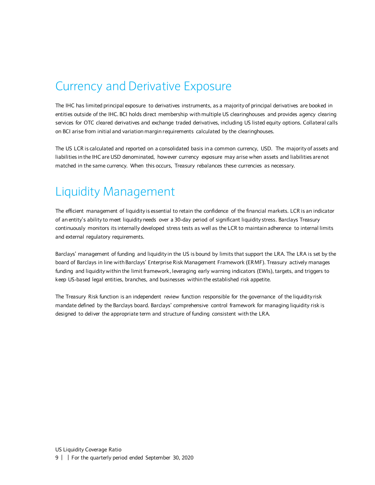#### <span id="page-8-0"></span>Currency and Derivative Exposure

The IHC has limited principal exposure to derivatives instruments, as a majority of principal derivatives are booked in entities outside of the IHC. BCI holds direct membership with multiple US clearinghouses and provides agency clearing services for OTC cleared derivatives and exchange traded derivatives, including US listed equity options. Collateral calls on BCI arise from initial and variation margin requirements calculated by the clearinghouses.

The US LCR is calculated and reported on a consolidated basis in a common currency, USD. The majority of assets and liabilities in the IHC are USD denominated, however currency exposure may arise when assets and liabilities are not matched in the same currency. When this occurs, Treasury rebalances these currencies as necessary.

#### <span id="page-8-1"></span>Liquidity Management

The efficient management of liquidity is essential to retain the confidence of the financial markets. LCR is an indicator of an entity's ability to meet liquidity needs over a 30-day period of significant liquidity stress. Barclays Treasury continuously monitors its internally developed stress tests as well as the LCR to maintain adherence to internal limits and external regulatory requirements.

Barclays' management of funding and liquidity in the US is bound by limits that support the LRA. The LRA is set by the board of Barclays in line with Barclays' Enterprise Risk Management Framework (ERMF). Treasury actively manages funding and liquidity within the limit framework, leveraging early warning indicators (EWIs), targets, and triggers to keep US-based legal entities, branches, and businesses within the established risk appetite.

The Treasury Risk function is an independent review function responsible for the governance of the liquidity risk mandate defined by the Barclays board. Barclays' comprehensive control framework for managing liquidity risk is designed to deliver the appropriate term and structure of funding consistent with the LRA.